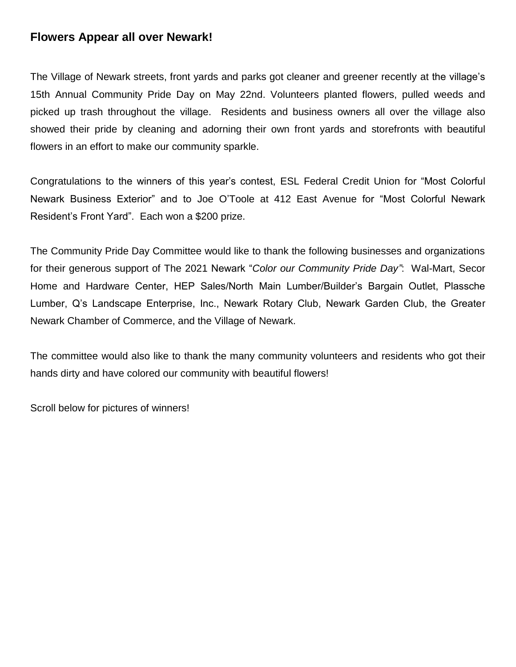## **Flowers Appear all over Newark!**

The Village of Newark streets, front yards and parks got cleaner and greener recently at the village's 15th Annual Community Pride Day on May 22nd. Volunteers planted flowers, pulled weeds and picked up trash throughout the village. Residents and business owners all over the village also showed their pride by cleaning and adorning their own front yards and storefronts with beautiful flowers in an effort to make our community sparkle.

Congratulations to the winners of this year's contest, ESL Federal Credit Union for "Most Colorful Newark Business Exterior" and to Joe O'Toole at 412 East Avenue for "Most Colorful Newark Resident's Front Yard". Each won a \$200 prize.

The Community Pride Day Committee would like to thank the following businesses and organizations for their generous support of The 2021 Newark "*Color our Community Pride Day"*: Wal-Mart, Secor Home and Hardware Center, HEP Sales/North Main Lumber/Builder's Bargain Outlet, Plassche Lumber, Q's Landscape Enterprise, Inc., Newark Rotary Club, Newark Garden Club, the Greater Newark Chamber of Commerce, and the Village of Newark.

The committee would also like to thank the many community volunteers and residents who got their hands dirty and have colored our community with beautiful flowers!

Scroll below for pictures of winners!